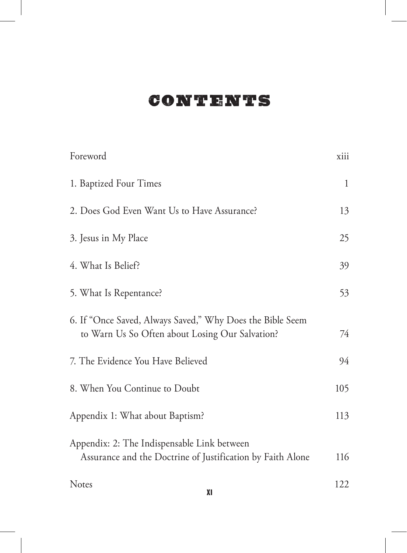# **Contents**

| Foreword                                                                                                     | xiii |
|--------------------------------------------------------------------------------------------------------------|------|
| 1. Baptized Four Times                                                                                       | 1    |
| 2. Does God Even Want Us to Have Assurance?                                                                  | 13   |
| 3. Jesus in My Place                                                                                         | 25   |
| 4. What Is Belief?                                                                                           | 39   |
| 5. What Is Repentance?                                                                                       | 53   |
| 6. If "Once Saved, Always Saved," Why Does the Bible Seem<br>to Warn Us So Often about Losing Our Salvation? | 74   |
| 7. The Evidence You Have Believed                                                                            | 94   |
| 8. When You Continue to Doubt                                                                                | 105  |
| Appendix 1: What about Baptism?                                                                              | 113  |
| Appendix: 2: The Indispensable Link between<br>Assurance and the Doctrine of Justification by Faith Alone    | 116  |
| <b>Notes</b><br>XI                                                                                           | 122  |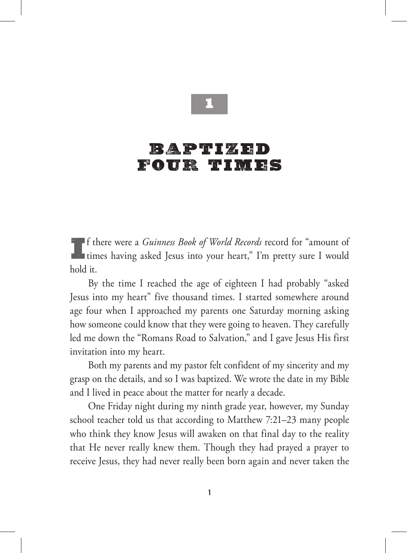## **Baptized Four Times**

**1**

**I**f there were a *Guinness Book of World Records* record for "amount of times having asked Jesus into your heart," I'm pretty sure I would hold it.

By the time I reached the age of eighteen I had probably "asked Jesus into my heart" five thousand times. I started somewhere around age four when I approached my parents one Saturday morning asking how someone could know that they were going to heaven. They carefully led me down the "Romans Road to Salvation," and I gave Jesus His first invitation into my heart.

Both my parents and my pastor felt confident of my sincerity and my grasp on the details, and so I was baptized. We wrote the date in my Bible and I lived in peace about the matter for nearly a decade.

One Friday night during my ninth grade year, however, my Sunday school teacher told us that according to Matthew 7:21–23 many people who think they know Jesus will awaken on that final day to the reality that He never really knew them. Though they had prayed a prayer to receive Jesus, they had never really been born again and never taken the

1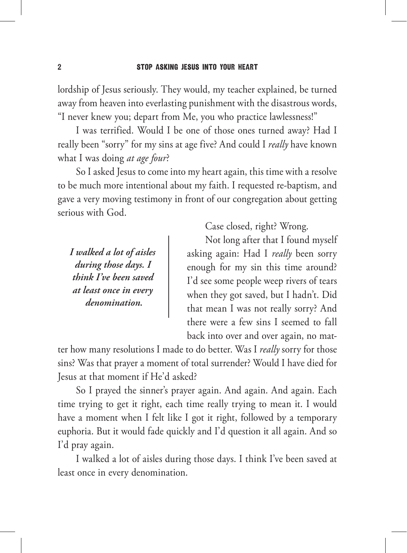lordship of Jesus seriously. They would, my teacher explained, be turned away from heaven into everlasting punishment with the disastrous words, "I never knew you; depart from Me, you who practice lawlessness!"

I was terrified. Would I be one of those ones turned away? Had I really been "sorry" for my sins at age five? And could I *really* have known what I was doing *at age four*?

So I asked Jesus to come into my heart again, this time with a resolve to be much more intentional about my faith. I requested re-baptism, and gave a very moving testimony in front of our congregation about getting serious with God.

*I walked a lot of aisles during those days. I think I've been saved at least once in every denomination.*

Case closed, right? Wrong.

Not long after that I found myself asking again: Had I *really* been sorry enough for my sin this time around? I'd see some people weep rivers of tears when they got saved, but I hadn't. Did that mean I was not really sorry? And there were a few sins I seemed to fall back into over and over again, no mat-

ter how many resolutions I made to do better. Was I *really* sorry for those sins? Was that prayer a moment of total surrender? Would I have died for Jesus at that moment if He'd asked?

So I prayed the sinner's prayer again. And again. And again. Each time trying to get it right, each time really trying to mean it. I would have a moment when I felt like I got it right, followed by a temporary euphoria. But it would fade quickly and I'd question it all again. And so I'd pray again.

I walked a lot of aisles during those days. I think I've been saved at least once in every denomination.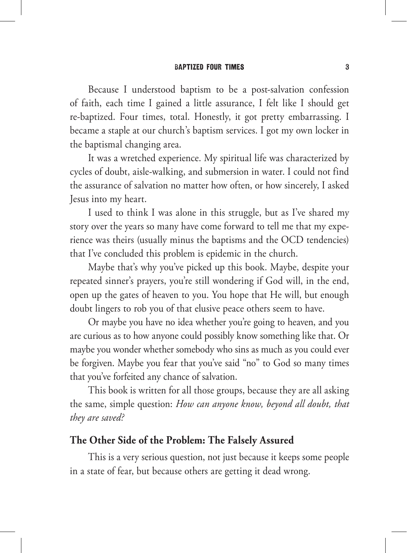Because I understood baptism to be a post-salvation confession of faith, each time I gained a little assurance, I felt like I should get re-baptized. Four times, total. Honestly, it got pretty embarrassing. I became a staple at our church's baptism services. I got my own locker in the baptismal changing area.

It was a wretched experience. My spiritual life was characterized by cycles of doubt, aisle-walking, and submersion in water. I could not find the assurance of salvation no matter how often, or how sincerely, I asked Jesus into my heart.

I used to think I was alone in this struggle, but as I've shared my story over the years so many have come forward to tell me that my experience was theirs (usually minus the baptisms and the OCD tendencies) that I've concluded this problem is epidemic in the church.

Maybe that's why you've picked up this book. Maybe, despite your repeated sinner's prayers, you're still wondering if God will, in the end, open up the gates of heaven to you. You hope that He will, but enough doubt lingers to rob you of that elusive peace others seem to have.

Or maybe you have no idea whether you're going to heaven, and you are curious as to how anyone could possibly know something like that. Or maybe you wonder whether somebody who sins as much as you could ever be forgiven. Maybe you fear that you've said "no" to God so many times that you've forfeited any chance of salvation.

This book is written for all those groups, because they are all asking the same, simple question: *How can anyone know, beyond all doubt, that they are saved?* 

### **The Other Side of the Problem: The Falsely Assured**

This is a very serious question, not just because it keeps some people in a state of fear, but because others are getting it dead wrong.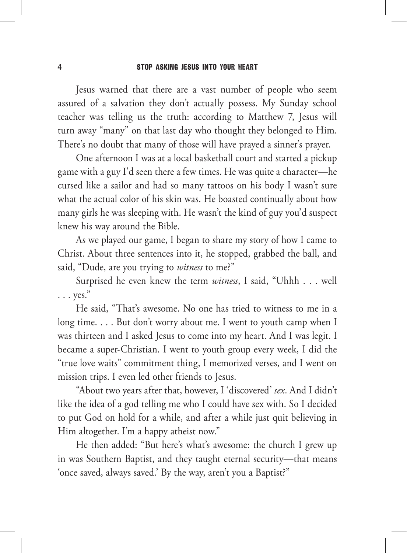Jesus warned that there are a vast number of people who seem assured of a salvation they don't actually possess. My Sunday school teacher was telling us the truth: according to Matthew 7, Jesus will turn away "many" on that last day who thought they belonged to Him. There's no doubt that many of those will have prayed a sinner's prayer.

One afternoon I was at a local basketball court and started a pickup game with a guy I'd seen there a few times. He was quite a character—he cursed like a sailor and had so many tattoos on his body I wasn't sure what the actual color of his skin was. He boasted continually about how many girls he was sleeping with. He wasn't the kind of guy you'd suspect knew his way around the Bible.

As we played our game, I began to share my story of how I came to Christ. About three sentences into it, he stopped, grabbed the ball, and said, "Dude, are you trying to *witness* to me?"

Surprised he even knew the term *witness*, I said, "Uhhh . . . well . . . yes."

He said, "That's awesome. No one has tried to witness to me in a long time. . . . But don't worry about me. I went to youth camp when I was thirteen and I asked Jesus to come into my heart. And I was legit. I became a super-Christian. I went to youth group every week, I did the "true love waits" commitment thing, I memorized verses, and I went on mission trips. I even led other friends to Jesus.

"About two years after that, however, I 'discovered' *sex*. And I didn't like the idea of a god telling me who I could have sex with. So I decided to put God on hold for a while, and after a while just quit believing in Him altogether. I'm a happy atheist now."

He then added: "But here's what's awesome: the church I grew up in was Southern Baptist, and they taught eternal security—that means 'once saved, always saved.' By the way, aren't you a Baptist?"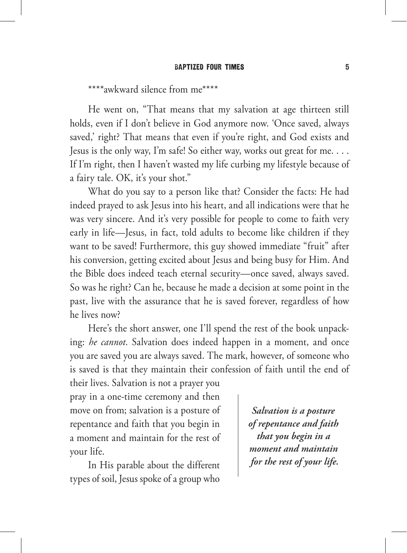\*\*\*\*awkward silence from me\*\*\*\*

He went on, "That means that my salvation at age thirteen still holds, even if I don't believe in God anymore now. 'Once saved, always saved,' right? That means that even if you're right, and God exists and Jesus is the only way, I'm safe! So either way, works out great for me. . . . If I'm right, then I haven't wasted my life curbing my lifestyle because of a fairy tale. OK, it's your shot."

What do you say to a person like that? Consider the facts: He had indeed prayed to ask Jesus into his heart, and all indications were that he was very sincere. And it's very possible for people to come to faith very early in life—Jesus, in fact, told adults to become like children if they want to be saved! Furthermore, this guy showed immediate "fruit" after his conversion, getting excited about Jesus and being busy for Him. And the Bible does indeed teach eternal security—once saved, always saved. So was he right? Can he, because he made a decision at some point in the past, live with the assurance that he is saved forever, regardless of how he lives now?

Here's the short answer, one I'll spend the rest of the book unpacking: *he cannot*. Salvation does indeed happen in a moment, and once you are saved you are always saved. The mark, however, of someone who is saved is that they maintain their confession of faith until the end of

their lives. Salvation is not a prayer you pray in a one-time ceremony and then move on from; salvation is a posture of repentance and faith that you begin in a moment and maintain for the rest of your life.

In His parable about the different types of soil, Jesus spoke of a group who

*Salvation is a posture of repentance and faith that you begin in a moment and maintain for the rest of your life.*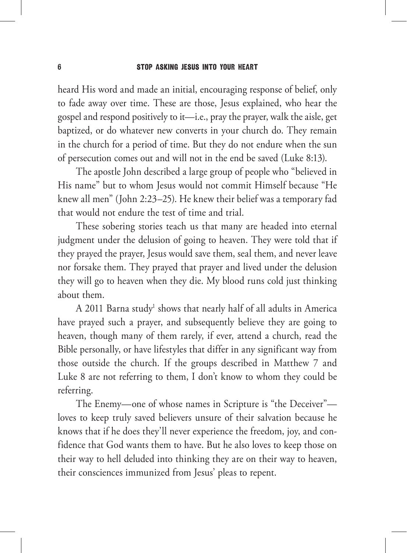heard His word and made an initial, encouraging response of belief, only to fade away over time. These are those, Jesus explained, who hear the gospel and respond positively to it—i.e., pray the prayer, walk the aisle, get baptized, or do whatever new converts in your church do. They remain in the church for a period of time. But they do not endure when the sun of persecution comes out and will not in the end be saved (Luke 8:13).

The apostle John described a large group of people who "believed in His name" but to whom Jesus would not commit Himself because "He knew all men" (John 2:23–25). He knew their belief was a temporary fad that would not endure the test of time and trial.

These sobering stories teach us that many are headed into eternal judgment under the delusion of going to heaven. They were told that if they prayed the prayer, Jesus would save them, seal them, and never leave nor forsake them. They prayed that prayer and lived under the delusion they will go to heaven when they die. My blood runs cold just thinking about them.

A 2011 Barna study $^{\rm l}$  shows that nearly half of all adults in America have prayed such a prayer, and subsequently believe they are going to heaven, though many of them rarely, if ever, attend a church, read the Bible personally, or have lifestyles that differ in any significant way from those outside the church. If the groups described in Matthew 7 and Luke 8 are not referring to them, I don't know to whom they could be referring.

The Enemy—one of whose names in Scripture is "the Deceiver" loves to keep truly saved believers unsure of their salvation because he knows that if he does they'll never experience the freedom, joy, and confidence that God wants them to have. But he also loves to keep those on their way to hell deluded into thinking they are on their way to heaven, their consciences immunized from Jesus' pleas to repent.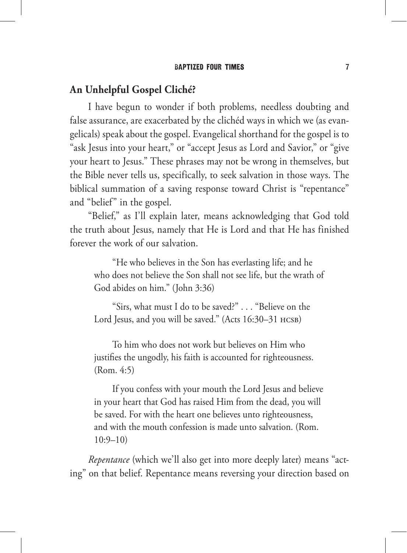### **An Unhelpful Gospel Cliché?**

I have begun to wonder if both problems, needless doubting and false assurance, are exacerbated by the clichéd ways in which we (as evangelicals) speak about the gospel. Evangelical shorthand for the gospel is to "ask Jesus into your heart," or "accept Jesus as Lord and Savior," or "give your heart to Jesus." These phrases may not be wrong in themselves, but the Bible never tells us, specifically, to seek salvation in those ways. The biblical summation of a saving response toward Christ is "repentance" and "belief" in the gospel.

"Belief," as I'll explain later, means acknowledging that God told the truth about Jesus, namely that He is Lord and that He has finished forever the work of our salvation.

"He who believes in the Son has everlasting life; and he who does not believe the Son shall not see life, but the wrath of God abides on him." (John 3:36)

"Sirs, what must I do to be saved?" . . . "Believe on the Lord Jesus, and you will be saved." (Acts 16:30-31 HCSB)

To him who does not work but believes on Him who justifies the ungodly, his faith is accounted for righteousness. (Rom. 4:5)

If you confess with your mouth the Lord Jesus and believe in your heart that God has raised Him from the dead, you will be saved. For with the heart one believes unto righteousness, and with the mouth confession is made unto salvation. (Rom. 10:9–10)

*Repentance* (which we'll also get into more deeply later) means "acting" on that belief. Repentance means reversing your direction based on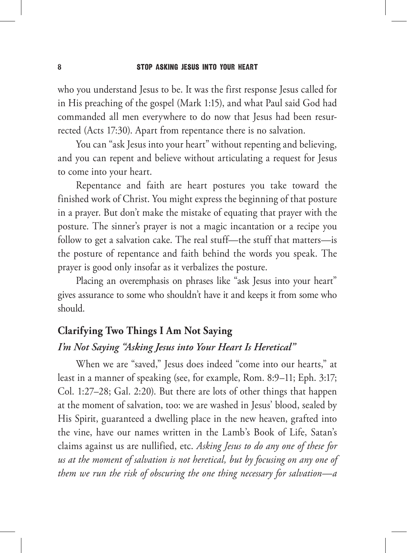who you understand Jesus to be. It was the first response Jesus called for in His preaching of the gospel (Mark 1:15), and what Paul said God had commanded all men everywhere to do now that Jesus had been resurrected (Acts 17:30). Apart from repentance there is no salvation.

You can "ask Jesus into your heart" without repenting and believing, and you can repent and believe without articulating a request for Jesus to come into your heart.

Repentance and faith are heart postures you take toward the finished work of Christ. You might express the beginning of that posture in a prayer. But don't make the mistake of equating that prayer with the posture. The sinner's prayer is not a magic incantation or a recipe you follow to get a salvation cake. The real stuff—the stuff that matters—is the posture of repentance and faith behind the words you speak. The prayer is good only insofar as it verbalizes the posture.

Placing an overemphasis on phrases like "ask Jesus into your heart" gives assurance to some who shouldn't have it and keeps it from some who should.

### **Clarifying Two Things I Am Not Saying** *I'm Not Saying "Asking Jesus into Your Heart Is Heretical"*

When we are "saved," Jesus does indeed "come into our hearts," at least in a manner of speaking (see, for example, Rom. 8:9–11; Eph. 3:17; Col. 1:27–28; Gal. 2:20). But there are lots of other things that happen at the moment of salvation, too: we are washed in Jesus' blood, sealed by His Spirit, guaranteed a dwelling place in the new heaven, grafted into the vine, have our names written in the Lamb's Book of Life, Satan's claims against us are nullified, etc. *Asking Jesus to do any one of these for us at the moment of salvation is not heretical, but by focusing on any one of them we run the risk of obscuring the one thing necessary for salvation—a*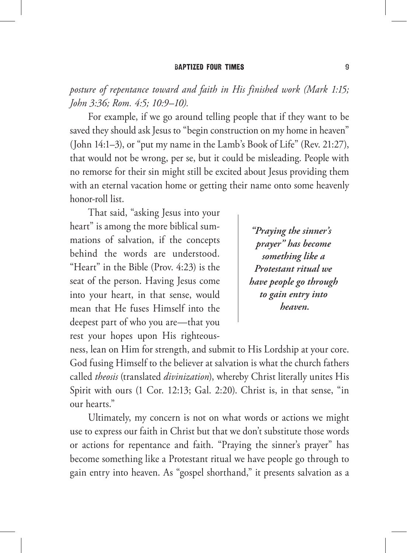*posture of repentance toward and faith in His finished work (Mark 1:15; John 3:36; Rom. 4:5; 10:9–10).*

For example, if we go around telling people that if they want to be saved they should ask Jesus to "begin construction on my home in heaven" (John 14:1–3), or "put my name in the Lamb's Book of Life" (Rev. 21:27), that would not be wrong, per se, but it could be misleading. People with no remorse for their sin might still be excited about Jesus providing them with an eternal vacation home or getting their name onto some heavenly honor-roll list.

That said, "asking Jesus into your heart" is among the more biblical summations of salvation, if the concepts behind the words are understood. "Heart" in the Bible (Prov. 4:23) is the seat of the person. Having Jesus come into your heart, in that sense, would mean that He fuses Himself into the deepest part of who you are—that you rest your hopes upon His righteous-

*"Praying the sinner's prayer" has become something like a Protestant ritual we have people go through to gain entry into heaven.*

ness, lean on Him for strength, and submit to His Lordship at your core. God fusing Himself to the believer at salvation is what the church fathers called *theosis* (translated *divinization*), whereby Christ literally unites His Spirit with ours (1 Cor. 12:13; Gal. 2:20). Christ is, in that sense, "in our hearts."

Ultimately, my concern is not on what words or actions we might use to express our faith in Christ but that we don't substitute those words or actions for repentance and faith. "Praying the sinner's prayer" has become something like a Protestant ritual we have people go through to gain entry into heaven. As "gospel shorthand," it presents salvation as a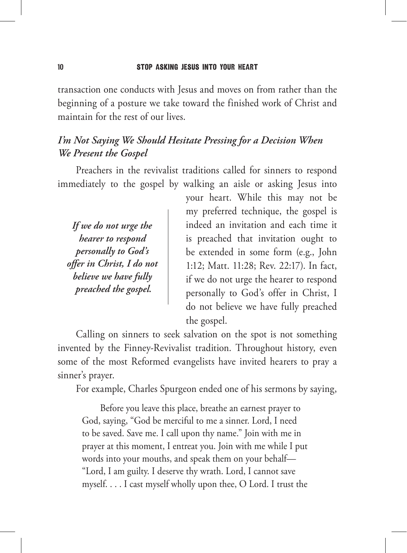transaction one conducts with Jesus and moves on from rather than the beginning of a posture we take toward the finished work of Christ and maintain for the rest of our lives.

### *I'm Not Saying We Should Hesitate Pressing for a Decision When We Present the Gospel*

Preachers in the revivalist traditions called for sinners to respond immediately to the gospel by walking an aisle or asking Jesus into

*If we do not urge the hearer to respond personally to God's offer in Christ, I do not believe we have fully preached the gospel.*

your heart. While this may not be my preferred technique, the gospel is indeed an invitation and each time it is preached that invitation ought to be extended in some form (e.g., John 1:12; Matt. 11:28; Rev. 22:17). In fact, if we do not urge the hearer to respond personally to God's offer in Christ, I do not believe we have fully preached the gospel.

Calling on sinners to seek salvation on the spot is not something invented by the Finney-Revivalist tradition. Throughout history, even some of the most Reformed evangelists have invited hearers to pray a sinner's prayer.

For example, Charles Spurgeon ended one of his sermons by saying,

Before you leave this place, breathe an earnest prayer to God, saying, "God be merciful to me a sinner. Lord, I need to be saved. Save me. I call upon thy name." Join with me in prayer at this moment, I entreat you. Join with me while I put words into your mouths, and speak them on your behalf— "Lord, I am guilty. I deserve thy wrath. Lord, I cannot save myself. . . . I cast myself wholly upon thee, O Lord. I trust the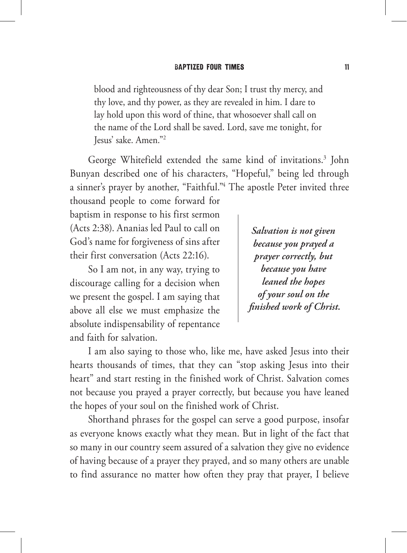blood and righteousness of thy dear Son; I trust thy mercy, and thy love, and thy power, as they are revealed in him. I dare to lay hold upon this word of thine, that whosoever shall call on the name of the Lord shall be saved. Lord, save me tonight, for Jesus' sake. Amen."2

George Whitefield extended the same kind of invitations.3 John Bunyan described one of his characters, "Hopeful," being led through a sinner's prayer by another, "Faithful."4 The apostle Peter invited three

thousand people to come forward for baptism in response to his first sermon (Acts 2:38). Ananias led Paul to call on God's name for forgiveness of sins after their first conversation (Acts 22:16).

So I am not, in any way, trying to discourage calling for a decision when we present the gospel. I am saying that above all else we must emphasize the absolute indispensability of repentance and faith for salvation.

*Salvation is not given because you prayed a prayer correctly, but because you have leaned the hopes of your soul on the finished work of Christ.*

I am also saying to those who, like me, have asked Jesus into their hearts thousands of times, that they can "stop asking Jesus into their heart" and start resting in the finished work of Christ. Salvation comes not because you prayed a prayer correctly, but because you have leaned the hopes of your soul on the finished work of Christ.

Shorthand phrases for the gospel can serve a good purpose, insofar as everyone knows exactly what they mean. But in light of the fact that so many in our country seem assured of a salvation they give no evidence of having because of a prayer they prayed, and so many others are unable to find assurance no matter how often they pray that prayer, I believe